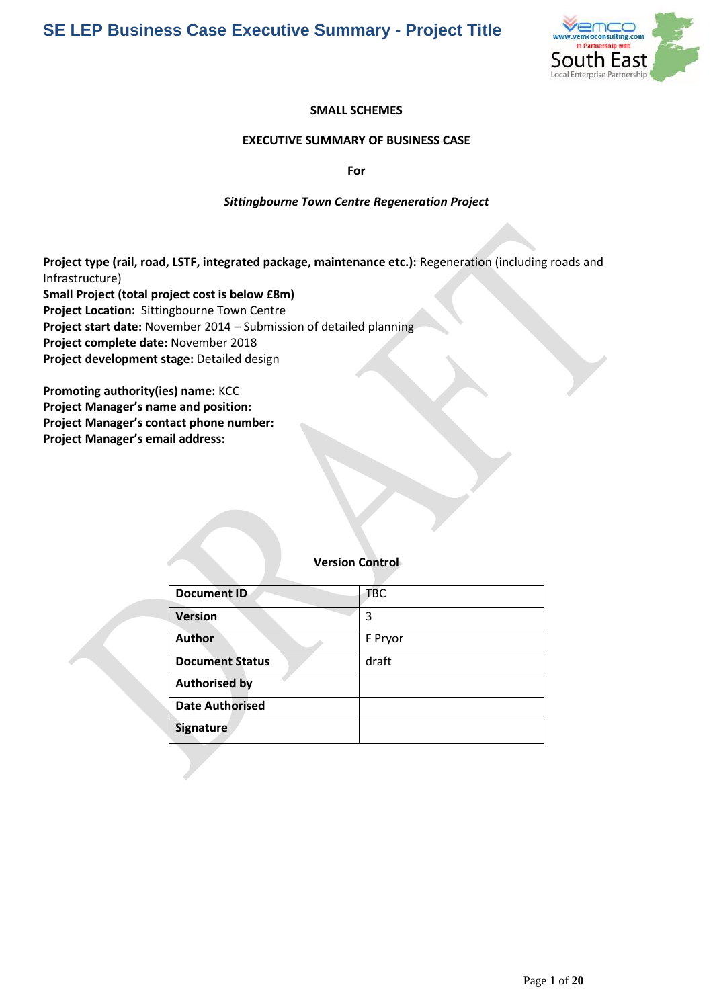

### **SMALL SCHEMES**

### **EXECUTIVE SUMMARY OF BUSINESS CASE**

**For** 

### *Sittingbourne Town Centre Regeneration Project*

**Project type (rail, road, LSTF, integrated package, maintenance etc.):** Regeneration (including roads and Infrastructure) **Small Project (total project cost is below £8m) Project Location:** Sittingbourne Town Centre **Project start date:** November 2014 – Submission of detailed planning **Project complete date:** November 2018 **Project development stage:** Detailed design

**Promoting authority(ies) name:** KCC **Project Manager's name and position: Project Manager's contact phone number: Project Manager's email address:**

### **Version Control**

| <b>Document ID</b>     | <b>TBC</b> |
|------------------------|------------|
| <b>Version</b>         | 3          |
| <b>Author</b>          | F Pryor    |
| <b>Document Status</b> | draft      |
| <b>Authorised by</b>   |            |
| <b>Date Authorised</b> |            |
| <b>Signature</b>       |            |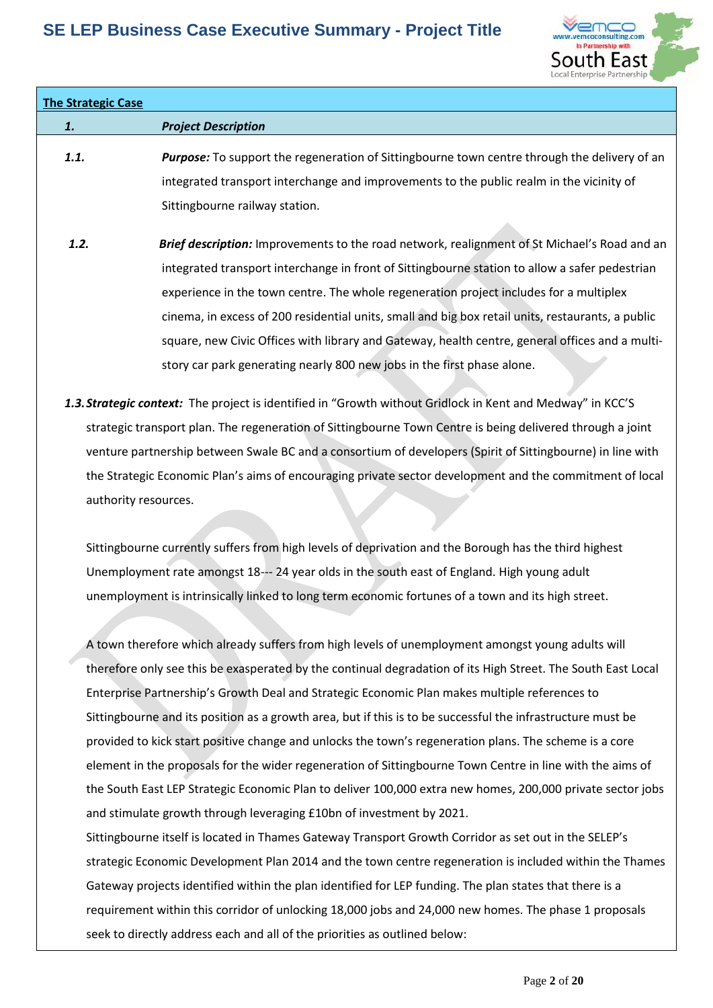

## **The Strategic Case**

*1. Project Description*

# *1.1. Purpose:* To support the regeneration of Sittingbourne town centre through the delivery of an integrated transport interchange and improvements to the public realm in the vicinity of Sittingbourne railway station.

- **1.2. Brief description:** Improvements to the road network, realignment of St Michael's Road and an integrated transport interchange in front of Sittingbourne station to allow a safer pedestrian experience in the town centre. The whole regeneration project includes for a multiplex cinema, in excess of 200 residential units, small and big box retail units, restaurants, a public square, new Civic Offices with library and Gateway, health centre, general offices and a multistory car park generating nearly 800 new jobs in the first phase alone.
- *1.3.Strategic context:* The project is identified in "Growth without Gridlock in Kent and Medway" in KCC'S strategic transport plan. The regeneration of Sittingbourne Town Centre is being delivered through a joint venture partnership between Swale BC and a consortium of developers (Spirit of Sittingbourne) in line with the Strategic Economic Plan's aims of encouraging private sector development and the commitment of local authority resources.

Sittingbourne currently suffers from high levels of deprivation and the Borough has the third highest Unemployment rate amongst 18--‐ 24 year olds in the south east of England. High young adult unemployment is intrinsically linked to long term economic fortunes of a town and its high street.

A town therefore which already suffers from high levels of unemployment amongst young adults will therefore only see this be exasperated by the continual degradation of its High Street. The South East Local Enterprise Partnership's Growth Deal and Strategic Economic Plan makes multiple references to Sittingbourne and its position as a growth area, but if this is to be successful the infrastructure must be provided to kick start positive change and unlocks the town's regeneration plans. The scheme is a core element in the proposals for the wider regeneration of Sittingbourne Town Centre in line with the aims of the South East LEP Strategic Economic Plan to deliver 100,000 extra new homes, 200,000 private sector jobs and stimulate growth through leveraging £10bn of investment by 2021.

Sittingbourne itself is located in Thames Gateway Transport Growth Corridor as set out in the SELEP's strategic Economic Development Plan 2014 and the town centre regeneration is included within the Thames Gateway projects identified within the plan identified for LEP funding. The plan states that there is a requirement within this corridor of unlocking 18,000 jobs and 24,000 new homes. The phase 1 proposals seek to directly address each and all of the priorities as outlined below: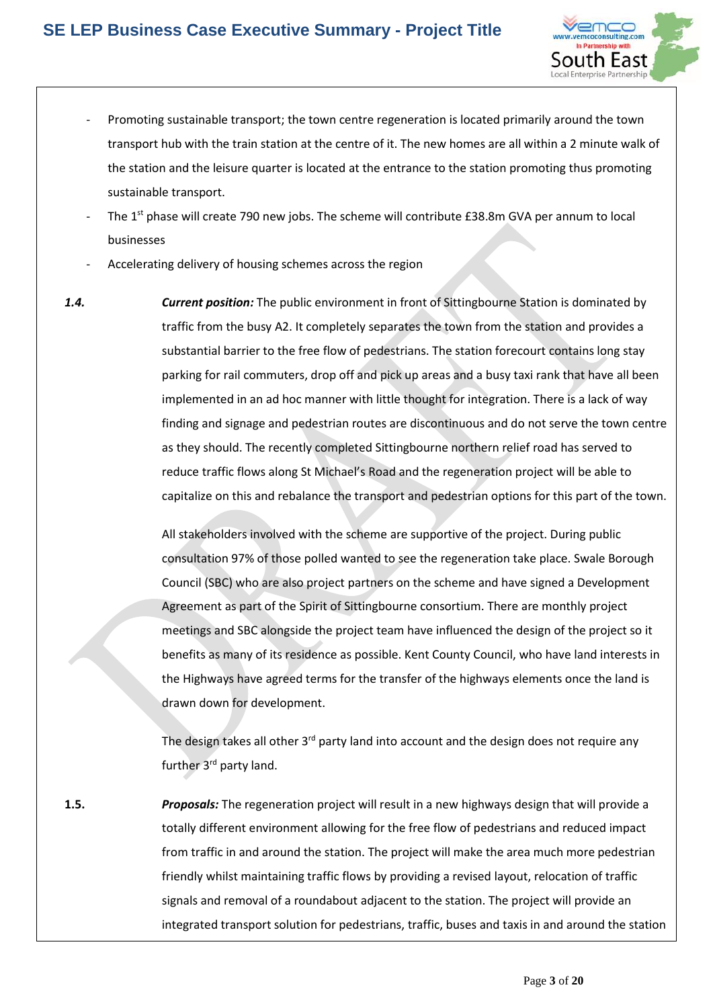

- Promoting sustainable transport; the town centre regeneration is located primarily around the town transport hub with the train station at the centre of it. The new homes are all within a 2 minute walk of the station and the leisure quarter is located at the entrance to the station promoting thus promoting sustainable transport.
- The 1<sup>st</sup> phase will create 790 new jobs. The scheme will contribute £38.8m GVA per annum to local businesses
- Accelerating delivery of housing schemes across the region
- *1.4. Current position:* The public environment in front of Sittingbourne Station is dominated by traffic from the busy A2. It completely separates the town from the station and provides a substantial barrier to the free flow of pedestrians. The station forecourt contains long stay parking for rail commuters, drop off and pick up areas and a busy taxi rank that have all been implemented in an ad hoc manner with little thought for integration. There is a lack of way finding and signage and pedestrian routes are discontinuous and do not serve the town centre as they should. The recently completed Sittingbourne northern relief road has served to reduce traffic flows along St Michael's Road and the regeneration project will be able to capitalize on this and rebalance the transport and pedestrian options for this part of the town.

All stakeholders involved with the scheme are supportive of the project. During public consultation 97% of those polled wanted to see the regeneration take place. Swale Borough Council (SBC) who are also project partners on the scheme and have signed a Development Agreement as part of the Spirit of Sittingbourne consortium. There are monthly project meetings and SBC alongside the project team have influenced the design of the project so it benefits as many of its residence as possible. Kent County Council, who have land interests in the Highways have agreed terms for the transfer of the highways elements once the land is drawn down for development.

The design takes all other 3<sup>rd</sup> party land into account and the design does not require any further 3<sup>rd</sup> party land.

**1.5.** *Proposals:* The regeneration project will result in a new highways design that will provide a totally different environment allowing for the free flow of pedestrians and reduced impact from traffic in and around the station. The project will make the area much more pedestrian friendly whilst maintaining traffic flows by providing a revised layout, relocation of traffic signals and removal of a roundabout adjacent to the station. The project will provide an integrated transport solution for pedestrians, traffic, buses and taxis in and around the station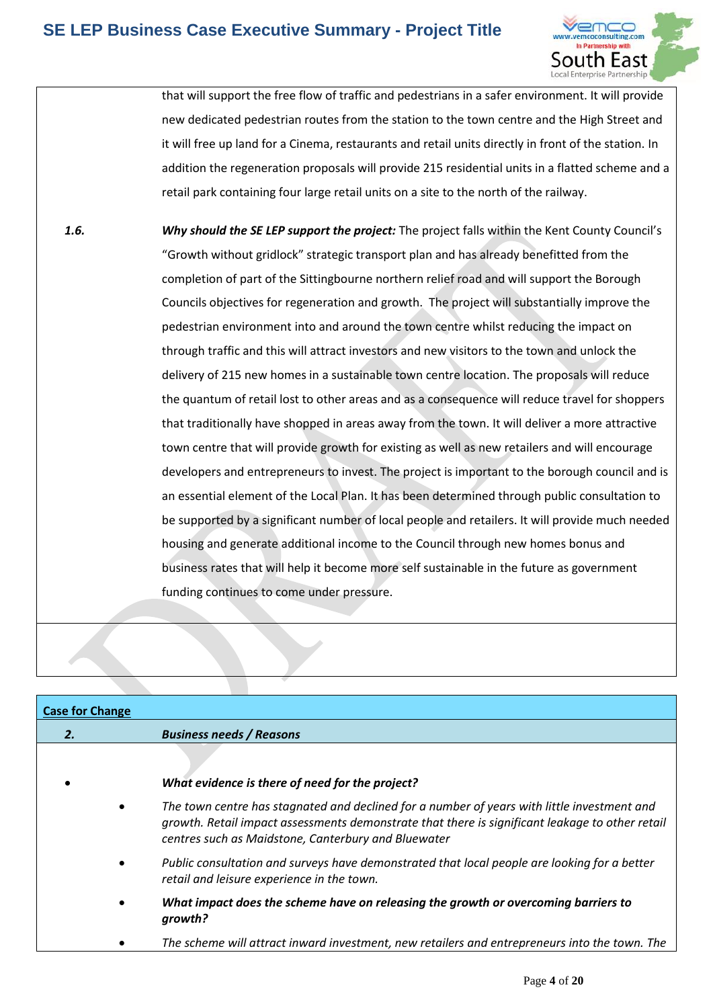

that will support the free flow of traffic and pedestrians in a safer environment. It will provide new dedicated pedestrian routes from the station to the town centre and the High Street and it will free up land for a Cinema, restaurants and retail units directly in front of the station. In addition the regeneration proposals will provide 215 residential units in a flatted scheme and a retail park containing four large retail units on a site to the north of the railway.

*1.6. Why should the SE LEP support the project:* The project falls within the Kent County Council's "Growth without gridlock" strategic transport plan and has already benefitted from the completion of part of the Sittingbourne northern relief road and will support the Borough Councils objectives for regeneration and growth. The project will substantially improve the pedestrian environment into and around the town centre whilst reducing the impact on through traffic and this will attract investors and new visitors to the town and unlock the delivery of 215 new homes in a sustainable town centre location. The proposals will reduce the quantum of retail lost to other areas and as a consequence will reduce travel for shoppers that traditionally have shopped in areas away from the town. It will deliver a more attractive town centre that will provide growth for existing as well as new retailers and will encourage developers and entrepreneurs to invest. The project is important to the borough council and is an essential element of the Local Plan. It has been determined through public consultation to be supported by a significant number of local people and retailers. It will provide much needed housing and generate additional income to the Council through new homes bonus and business rates that will help it become more self sustainable in the future as government funding continues to come under pressure.

| <b>Case for Change</b> |                                                                                                                                                                                                                                                       |
|------------------------|-------------------------------------------------------------------------------------------------------------------------------------------------------------------------------------------------------------------------------------------------------|
| 2.                     | <b>Business needs / Reasons</b>                                                                                                                                                                                                                       |
|                        | What evidence is there of need for the project?                                                                                                                                                                                                       |
|                        | The town centre has stagnated and declined for a number of years with little investment and<br>growth. Retail impact assessments demonstrate that there is significant leakage to other retail<br>centres such as Maidstone, Canterbury and Bluewater |
|                        | Public consultation and surveys have demonstrated that local people are looking for a better<br>retail and leisure experience in the town.                                                                                                            |
|                        | What impact does the scheme have on releasing the growth or overcoming barriers to<br>growth?                                                                                                                                                         |
|                        | The scheme will attract inward investment, new retailers and entrepreneurs into the town. The                                                                                                                                                         |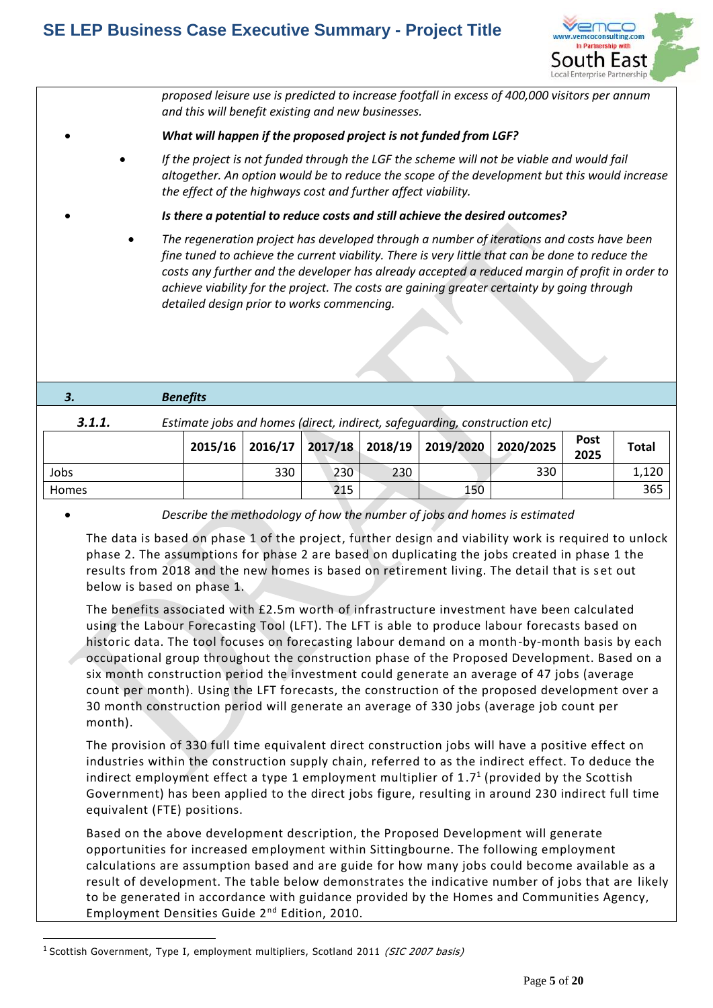

*proposed leisure use is predicted to increase footfall in excess of 400,000 visitors per annum and this will benefit existing and new businesses.*

### *What will happen if the proposed project is not funded from LGF?*

 *If the project is not funded through the LGF the scheme will not be viable and would fail altogether. An option would be to reduce the scope of the development but this would increase the effect of the highways cost and further affect viability.*

*Is there a potential to reduce costs and still achieve the desired outcomes?*

 *The regeneration project has developed through a number of iterations and costs have been fine tuned to achieve the current viability. There is very little that can be done to reduce the costs any further and the developer has already accepted a reduced margin of profit in order to achieve viability for the project. The costs are gaining greater certainty by going through detailed design prior to works commencing.*

| 3.     | <b>Benefits</b> |                                                                            |  |  |  |  |                                                                                  |             |              |  |
|--------|-----------------|----------------------------------------------------------------------------|--|--|--|--|----------------------------------------------------------------------------------|-------------|--------------|--|
| 3.1.1. |                 | Estimate jobs and homes (direct, indirect, safequarding, construction etc) |  |  |  |  |                                                                                  |             |              |  |
|        |                 |                                                                            |  |  |  |  | $\frac{1}{2015/16}$ 2016/17 2017/18 2018/19 2019/2020 2020/2025 $\frac{1}{2025}$ | <b>Post</b> | <b>Total</b> |  |

|       |     |     |     | 2015/16 2016/17 2017/18 2018/19 2019/2020 2020/2025 |     | rusl<br>2025 | <b>Total</b> |
|-------|-----|-----|-----|-----------------------------------------------------|-----|--------------|--------------|
| Jobs  | 330 | 230 | 230 |                                                     | 330 |              | 1,120        |
| Homes |     | 215 |     | 150                                                 |     |              | 365          |

1

*Describe the methodology of how the number of jobs and homes is estimated*

The data is based on phase 1 of the project, further design and viability work is required to unlock phase 2. The assumptions for phase 2 are based on duplicating the jobs created in phase 1 the results from 2018 and the new homes is based on retirement living. The detail that is set out below is based on phase 1.

The benefits associated with £2.5m worth of infrastructure investment have been calculated using the Labour Forecasting Tool (LFT). The LFT is able to produce labour forecasts based on historic data. The tool focuses on forecasting labour demand on a month-by-month basis by each occupational group throughout the construction phase of the Proposed Development. Based on a six month construction period the investment could generate an average of 47 jobs (average count per month). Using the LFT forecasts, the construction of the proposed development over a 30 month construction period will generate an average of 330 jobs (average job count per month).

The provision of 330 full time equivalent direct construction jobs will have a positive effect on industries within the construction supply chain, referred to as the indirect effect. To deduce the indirect employment effect a type 1 employment multiplier of 1.7<sup>1</sup> (provided by the Scottish Government) has been applied to the direct jobs figure, resulting in around 230 indirect full time equivalent (FTE) positions.

Based on the above development description, the Proposed Development will generate opportunities for increased employment within Sittingbourne. The following employment calculations are assumption based and are guide for how many jobs could become available as a result of development. The table below demonstrates the indicative number of jobs that are likely to be generated in accordance with guidance provided by the Homes and Communities Agency, Employment Densities Guide 2nd Edition, 2010.

<sup>&</sup>lt;sup>1</sup> Scottish Government, Type I, employment multipliers, Scotland 2011 (SIC 2007 basis)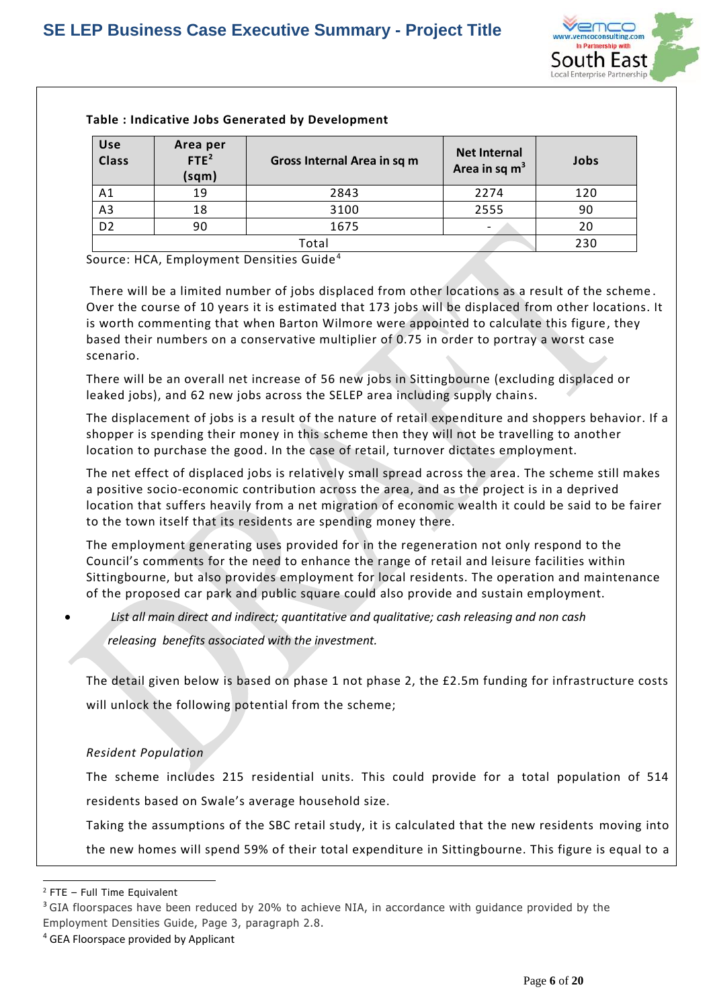

| Use<br><b>Class</b> | Area per<br>FTE <sup>2</sup><br>(sqm) | Gross Internal Area in sq m | <b>Net Internal</b><br>Area in sq $m3$ | Jobs |  |  |
|---------------------|---------------------------------------|-----------------------------|----------------------------------------|------|--|--|
| A1                  | 19                                    | 2843                        | 2274                                   | 120  |  |  |
| A <sub>3</sub>      | 18                                    | 3100                        | 2555                                   | 90   |  |  |
| D <sub>2</sub>      | 90                                    | 1675                        |                                        | 20   |  |  |
|                     | Total                                 |                             |                                        |      |  |  |

### **Table : Indicative Jobs Generated by Development**

Source: HCA, Employment Densities Guide <sup>4</sup>

There will be a limited number of jobs displaced from other locations as a result of the scheme . Over the course of 10 years it is estimated that 173 jobs will be displaced from other locations. It is worth commenting that when Barton Wilmore were appointed to calculate this figure, they based their numbers on a conservative multiplier of 0.75 in order to portray a worst case scenario.

There will be an overall net increase of 56 new jobs in Sittingbourne (excluding displaced or leaked jobs), and 62 new jobs across the SELEP area including supply chains.

The displacement of jobs is a result of the nature of retail expenditure and shoppers behavior. If a shopper is spending their money in this scheme then they will not be travelling to another location to purchase the good. In the case of retail, turnover dictates employment.

The net effect of displaced jobs is relatively small spread across the area. The scheme still makes a positive socio-economic contribution across the area, and as the project is in a deprived location that suffers heavily from a net migration of economic wealth it could be said to be fairer to the town itself that its residents are spending money there.

The employment generating uses provided for in the regeneration not only respond to the Council's comments for the need to enhance the range of retail and leisure facilities within Sittingbourne, but also provides employment for local residents. The operation and maintenance of the proposed car park and public square could also provide and sustain employment.

*List all main direct and indirect; quantitative and qualitative; cash releasing and non cash* 

*releasing benefits associated with the investment.*

The detail given below is based on phase 1 not phase 2, the £2.5m funding for infrastructure costs will unlock the following potential from the scheme;

### *Resident Population*

The scheme includes 215 residential units. This could provide for a total population of 514 residents based on Swale's average household size.

 Taking the assumptions of the SBC retail study, it is calculated that the new residents moving into the new homes will spend 59% of their total expenditure in Sittingbourne. This figure is equal to a

 $\overline{a}$ <sup>2</sup> FTE – Full Time Equivalent

<sup>&</sup>lt;sup>3</sup> GIA floorspaces have been reduced by 20% to achieve NIA, in accordance with guidance provided by the Employment Densities Guide, Page 3, paragraph 2.8.

<sup>4</sup> GEA Floorspace provided by Applicant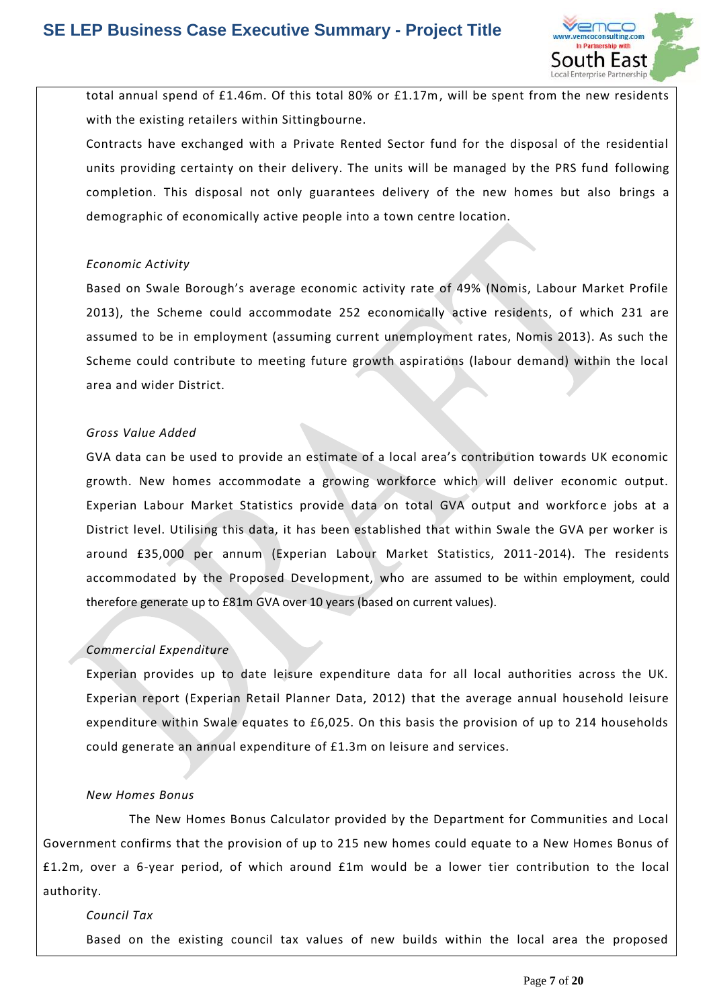

total annual spend of £1.46m. Of this total 80% or £1.17m, will be spent from the new residents with the existing retailers within Sittingbourne.

 Contracts have exchanged with a Private Rented Sector fund for the disposal of the residential units providing certainty on their delivery. The units will be managed by the PRS fund following completion. This disposal not only guarantees delivery of the new homes but also brings a demographic of economically active people into a town centre location.

### *Economic Activity*

Based on Swale Borough's average economic activity rate of 49% (Nomis, Labour Market Profile 2013), the Scheme could accommodate 252 economically active residents, of which 231 are assumed to be in employment (assuming current unemployment rates, Nomis 2013). As such the Scheme could contribute to meeting future growth aspirations (labour demand) within the local area and wider District.

### *Gross Value Added*

GVA data can be used to provide an estimate of a local area's contribution towards UK economic growth. New homes accommodate a growing workforce which will deliver economic output. Experian Labour Market Statistics provide data on total GVA output and workforce jobs at a District level. Utilising this data, it has been established that within Swale the GVA per worker is around £35,000 per annum (Experian Labour Market Statistics, 2011-2014). The residents accommodated by the Proposed Development, who are assumed to be within employment, could therefore generate up to £81m GVA over 10 years (based on current values).

### *Commercial Expenditure*

Experian provides up to date leisure expenditure data for all local authorities across the UK. Experian report (Experian Retail Planner Data, 2012) that the average annual household leisure expenditure within Swale equates to £6,025. On this basis the provision of up to 214 households could generate an annual expenditure of £1.3m on leisure and services.

### *New Homes Bonus*

The New Homes Bonus Calculator provided by the Department for Communities and Local Government confirms that the provision of up to 215 new homes could equate to a New Homes Bonus of £1.2m, over a 6-year period, of which around £1m would be a lower tier contribution to the local authority.

### *Council Tax*

Based on the existing council tax values of new builds within the local area the proposed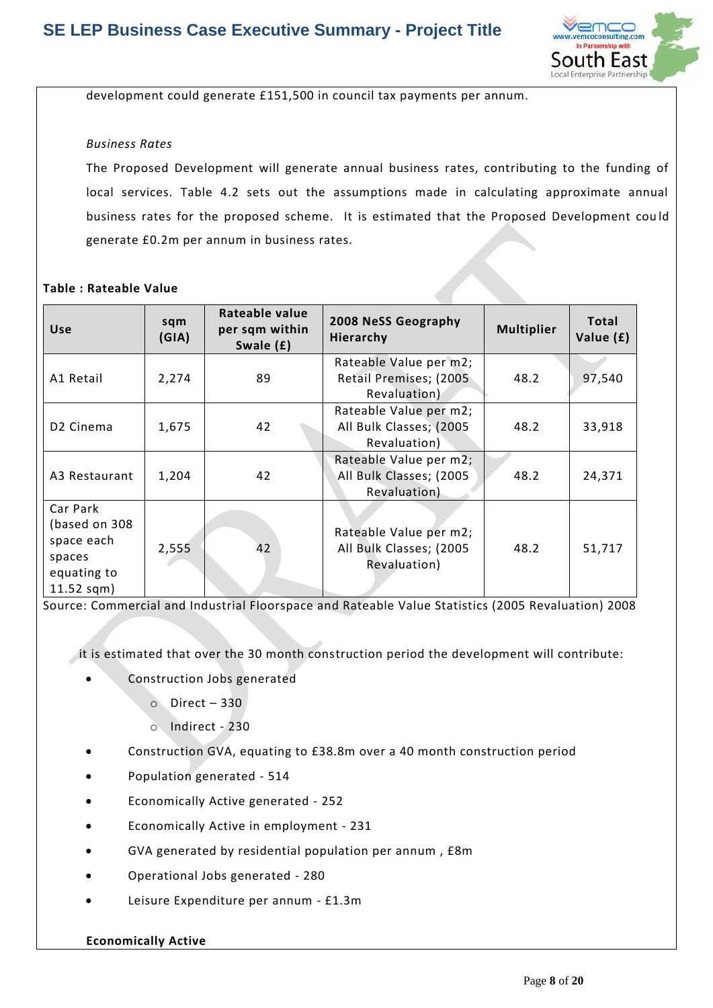

development could generate £151,500 in council tax payments per annum.

### *Business Rates*

The Proposed Development will generate annual business rates, contributing to the funding of local services. Table 4.2 sets out the assumptions made in calculating approximate annual business rates for the proposed scheme. It is estimated that the Proposed Development cou ld generate £0.2m per annum in business rates.

### **Table : Rateable Value**

| <b>Use</b>                                                                       | sqm<br>(GIA) | Rateable value<br>per sqm within<br>Swale (£) | 2008 NeSS Geography<br>Hierarchy                                  | <b>Multiplier</b> | <b>Total</b><br>Value (£) |
|----------------------------------------------------------------------------------|--------------|-----------------------------------------------|-------------------------------------------------------------------|-------------------|---------------------------|
| A1 Retail                                                                        | 2,274        | 89                                            | Rateable Value per m2;<br>Retail Premises; (2005)<br>Revaluation) | 48.2              | 97,540                    |
| D <sub>2</sub> Cinema                                                            | 1,675        | 42                                            | Rateable Value per m2;<br>All Bulk Classes; (2005<br>Revaluation) | 48.2              | 33,918                    |
| A3 Restaurant                                                                    | 1,204        | 42                                            | Rateable Value per m2;<br>All Bulk Classes; (2005<br>Revaluation) | 48.2              | 24,371                    |
| Car Park<br>(based on 308<br>space each<br>spaces<br>equating to<br>$11.52$ sqm) | 2,555        | 42                                            | Rateable Value per m2;<br>All Bulk Classes; (2005<br>Revaluation) | 48.2              | 51,717                    |

Source: Commercial and Industrial Floorspace and Rateable Value Statistics (2005 Revaluation) 2008

it is estimated that over the 30 month construction period the development will contribute:

- Construction Jobs generated
	- o Direct 330
	- o Indirect 230
- Construction GVA, equating to £38.8m over a 40 month construction period
- Population generated 514
- Economically Active generated 252
- Economically Active in employment 231
- GVA generated by residential population per annum , £8m
- Operational Jobs generated 280
- Leisure Expenditure per annum £1.3m

### **Economically Active**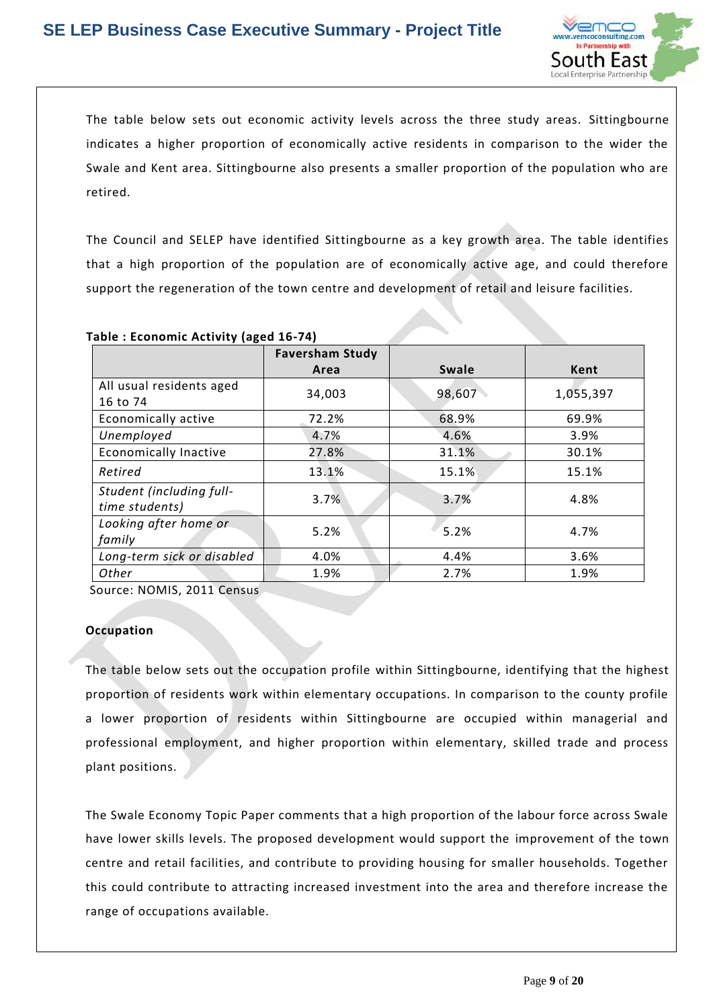

The table below sets out economic activity levels across the three study areas. Sittingbourne indicates a higher proportion of economically active residents in comparison to the wider the Swale and Kent area. Sittingbourne also presents a smaller proportion of the population who are retired.

The Council and SELEP have identified Sittingbourne as a key growth area. The table identifies that a high proportion of the population are of economically active age, and could therefore support the regeneration of the town centre and development of retail and leisure facilities.

| .                                          | <b>Faversham Study</b> |        |           |
|--------------------------------------------|------------------------|--------|-----------|
|                                            | Area                   | Swale  | Kent      |
| All usual residents aged<br>16 to 74       | 34,003                 | 98,607 | 1,055,397 |
| Economically active                        | 72.2%                  | 68.9%  | 69.9%     |
| Unemployed                                 | 4.7%                   | 4.6%   | 3.9%      |
| <b>Economically Inactive</b>               | 27.8%                  | 31.1%  | 30.1%     |
| Retired                                    | 13.1%                  | 15.1%  | 15.1%     |
| Student (including full-<br>time students) | 3.7%                   | 3.7%   | 4.8%      |
| Looking after home or<br>family            | 5.2%                   | 5.2%   | 4.7%      |
| Long-term sick or disabled                 | 4.0%                   | 4.4%   | 3.6%      |
| Other                                      | 1.9%                   | 2.7%   | 1.9%      |

**Table : Economic Activity (aged 16-74)**

Source: NOMIS, 2011 Census

### **Occupation**

The table below sets out the occupation profile within Sittingbourne, identifying that the highest proportion of residents work within elementary occupations. In comparison to the county profile a lower proportion of residents within Sittingbourne are occupied within managerial and professional employment, and higher proportion within elementary, skilled trade and process plant positions.

The Swale Economy Topic Paper comments that a high proportion of the labour force across Swale have lower skills levels. The proposed development would support the improvement of the town centre and retail facilities, and contribute to providing housing for smaller households. Together this could contribute to attracting increased investment into the area and therefore increase the range of occupations available.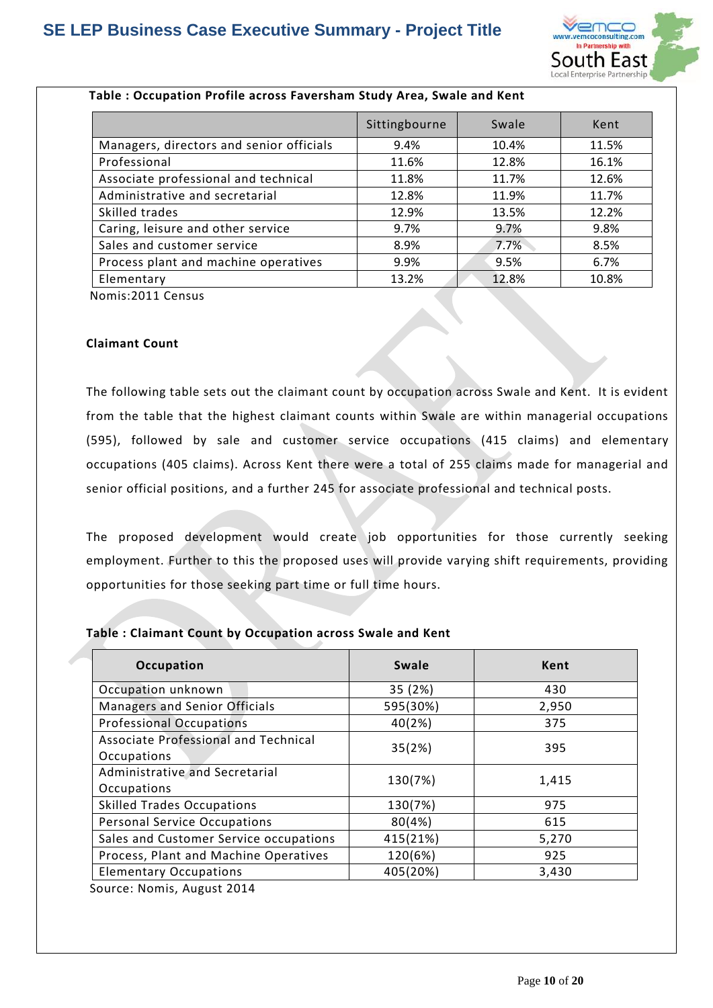

|                                          | Sittingbourne | Swale | Kent  |
|------------------------------------------|---------------|-------|-------|
| Managers, directors and senior officials | 9.4%          | 10.4% | 11.5% |
| Professional                             | 11.6%         | 12.8% | 16.1% |
| Associate professional and technical     | 11.8%         | 11.7% | 12.6% |
| Administrative and secretarial           | 12.8%         | 11.9% | 11.7% |
| Skilled trades                           | 12.9%         | 13.5% | 12.2% |
| Caring, leisure and other service        | 9.7%          | 9.7%  | 9.8%  |
| Sales and customer service               | 8.9%          | 7.7%  | 8.5%  |
| Process plant and machine operatives     | 9.9%          | 9.5%  | 6.7%  |
| Elementary                               | 13.2%         | 12.8% | 10.8% |

### **Table : Occupation Profile across Faversham Study Area, Swale and Kent**

Nomis:2011 Census

### **Claimant Count**

The following table sets out the claimant count by occupation across Swale and Kent. It is evident from the table that the highest claimant counts within Swale are within managerial occupations (595), followed by sale and customer service occupations (415 claims) and elementary occupations (405 claims). Across Kent there were a total of 255 claims made for managerial and senior official positions, and a further 245 for associate professional and technical posts.

The proposed development would create job opportunities for those currently seeking employment. Further to this the proposed uses will provide varying shift requirements, providing opportunities for those seeking part time or full time hours.

### **Table : Claimant Count by Occupation across Swale and Kent**

| Occupation                             | <b>Swale</b> | Kent  |  |
|----------------------------------------|--------------|-------|--|
| Occupation unknown                     | 35 (2%)      | 430   |  |
| <b>Managers and Senior Officials</b>   | 595(30%)     | 2,950 |  |
| <b>Professional Occupations</b>        | 40(2%)       | 375   |  |
| Associate Professional and Technical   | 35(2%)       | 395   |  |
| Occupations                            |              |       |  |
| Administrative and Secretarial         | 130(7%)      | 1,415 |  |
| Occupations                            |              |       |  |
| <b>Skilled Trades Occupations</b>      | 130(7%)      | 975   |  |
| <b>Personal Service Occupations</b>    | 80(4%)       | 615   |  |
| Sales and Customer Service occupations | 415(21%)     | 5,270 |  |
| Process, Plant and Machine Operatives  | 120(6%)      | 925   |  |
| <b>Elementary Occupations</b>          | 405(20%)     | 3,430 |  |

Source: Nomis, August 2014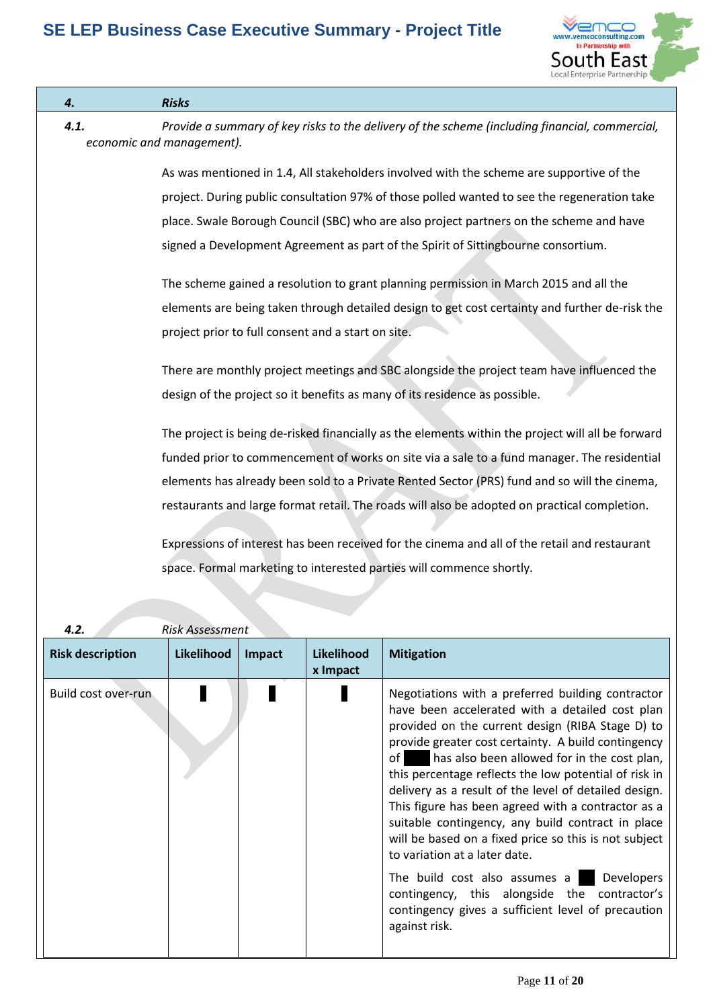

| 4.   | <b>Risks</b>                                                                                                                                                            |
|------|-------------------------------------------------------------------------------------------------------------------------------------------------------------------------|
| 4.1. | Provide a summary of key risks to the delivery of the scheme (including financial, commercial,<br>economic and management).                                             |
|      | As was mentioned in 1.4, All stakeholders involved with the scheme are supportive of the                                                                                |
|      | project. During public consultation 97% of those polled wanted to see the regeneration take                                                                             |
|      | place. Swale Borough Council (SBC) who are also project partners on the scheme and have                                                                                 |
|      | signed a Development Agreement as part of the Spirit of Sittingbourne consortium.                                                                                       |
|      | The scheme gained a resolution to grant planning permission in March 2015 and all the                                                                                   |
|      | elements are being taken through detailed design to get cost certainty and further de-risk the                                                                          |
|      | project prior to full consent and a start on site.                                                                                                                      |
|      | There are monthly project meetings and SBC alongside the project team have influenced the<br>design of the project so it benefits as many of its residence as possible. |
|      | The project is being de-risked financially as the elements within the project will all be forward                                                                       |
|      | funded prior to commencement of works on site via a sale to a fund manager. The residential                                                                             |
|      | elements has already been sold to a Private Rented Sector (PRS) fund and so will the cinema,                                                                            |
|      | restaurants and large format retail. The roads will also be adopted on practical completion.                                                                            |
|      | Expressions of interest has been received for the cinema and all of the retail and restaurant                                                                           |
|      | space. Formal marketing to interested parties will commence shortly.                                                                                                    |
|      |                                                                                                                                                                         |
| 4.2. | <b>Risk Assessment</b>                                                                                                                                                  |

| <b>Risk description</b> | <b>Likelihood</b> | Impact | <b>Likelihood</b><br>x Impact | <b>Mitigation</b>                                                                                                                                                                                                                                                                                                                                                                                                                                                                                                                                                                                                                                                                                                                                                          |
|-------------------------|-------------------|--------|-------------------------------|----------------------------------------------------------------------------------------------------------------------------------------------------------------------------------------------------------------------------------------------------------------------------------------------------------------------------------------------------------------------------------------------------------------------------------------------------------------------------------------------------------------------------------------------------------------------------------------------------------------------------------------------------------------------------------------------------------------------------------------------------------------------------|
| Build cost over-run     |                   |        |                               | Negotiations with a preferred building contractor<br>have been accelerated with a detailed cost plan<br>provided on the current design (RIBA Stage D) to<br>provide greater cost certainty. A build contingency<br>has also been allowed for in the cost plan,<br>of I<br>this percentage reflects the low potential of risk in<br>delivery as a result of the level of detailed design.<br>This figure has been agreed with a contractor as a<br>suitable contingency, any build contract in place<br>will be based on a fixed price so this is not subject<br>to variation at a later date.<br><b>Developers</b><br>The build cost also assumes a<br>contingency, this alongside the contractor's<br>contingency gives a sufficient level of precaution<br>against risk. |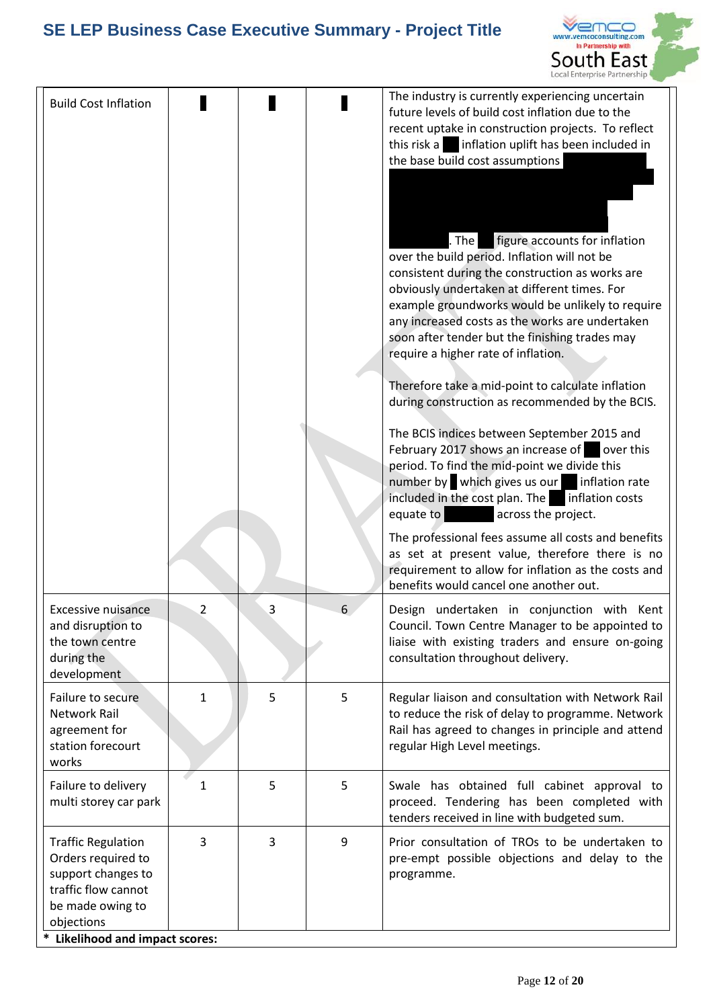

| <b>Build Cost Inflation</b>                                                                                                                                                 |                |   |   | The industry is currently experiencing uncertain<br>future levels of build cost inflation due to the<br>recent uptake in construction projects. To reflect<br>this risk a inflation uplift has been included in<br>the base build cost assumptions<br>figure accounts for inflation<br>. The $ $<br>over the build period. Inflation will not be<br>consistent during the construction as works are<br>obviously undertaken at different times. For<br>example groundworks would be unlikely to require<br>any increased costs as the works are undertaken<br>soon after tender but the finishing trades may<br>require a higher rate of inflation.<br>Therefore take a mid-point to calculate inflation<br>during construction as recommended by the BCIS.<br>The BCIS indices between September 2015 and<br>February 2017 shows an increase of over this<br>period. To find the mid-point we divide this<br>number by which gives us our<br>inflation rate<br>included in the cost plan. The inflation costs<br>equate to<br>across the project.<br>The professional fees assume all costs and benefits<br>as set at present value, therefore there is no<br>requirement to allow for inflation as the costs and |
|-----------------------------------------------------------------------------------------------------------------------------------------------------------------------------|----------------|---|---|--------------------------------------------------------------------------------------------------------------------------------------------------------------------------------------------------------------------------------------------------------------------------------------------------------------------------------------------------------------------------------------------------------------------------------------------------------------------------------------------------------------------------------------------------------------------------------------------------------------------------------------------------------------------------------------------------------------------------------------------------------------------------------------------------------------------------------------------------------------------------------------------------------------------------------------------------------------------------------------------------------------------------------------------------------------------------------------------------------------------------------------------------------------------------------------------------------------------|
| Excessive nuisance<br>and disruption to<br>the town centre<br>during the<br>development                                                                                     | $\overline{2}$ | 3 | 6 | benefits would cancel one another out.<br>Design undertaken in conjunction with Kent<br>Council. Town Centre Manager to be appointed to<br>liaise with existing traders and ensure on-going<br>consultation throughout delivery.                                                                                                                                                                                                                                                                                                                                                                                                                                                                                                                                                                                                                                                                                                                                                                                                                                                                                                                                                                                   |
| Failure to secure<br><b>Network Rail</b><br>agreement for<br>station forecourt<br>works                                                                                     | $\mathbf{1}$   | 5 | 5 | Regular liaison and consultation with Network Rail<br>to reduce the risk of delay to programme. Network<br>Rail has agreed to changes in principle and attend<br>regular High Level meetings.                                                                                                                                                                                                                                                                                                                                                                                                                                                                                                                                                                                                                                                                                                                                                                                                                                                                                                                                                                                                                      |
| Failure to delivery<br>multi storey car park                                                                                                                                | 1              | 5 | 5 | Swale has obtained full cabinet approval to<br>proceed. Tendering has been completed with<br>tenders received in line with budgeted sum.                                                                                                                                                                                                                                                                                                                                                                                                                                                                                                                                                                                                                                                                                                                                                                                                                                                                                                                                                                                                                                                                           |
| <b>Traffic Regulation</b><br>Orders required to<br>support changes to<br>traffic flow cannot<br>be made owing to<br>objections<br>*<br><b>Likelihood and impact scores:</b> | 3              | 3 | 9 | Prior consultation of TROs to be undertaken to<br>pre-empt possible objections and delay to the<br>programme.                                                                                                                                                                                                                                                                                                                                                                                                                                                                                                                                                                                                                                                                                                                                                                                                                                                                                                                                                                                                                                                                                                      |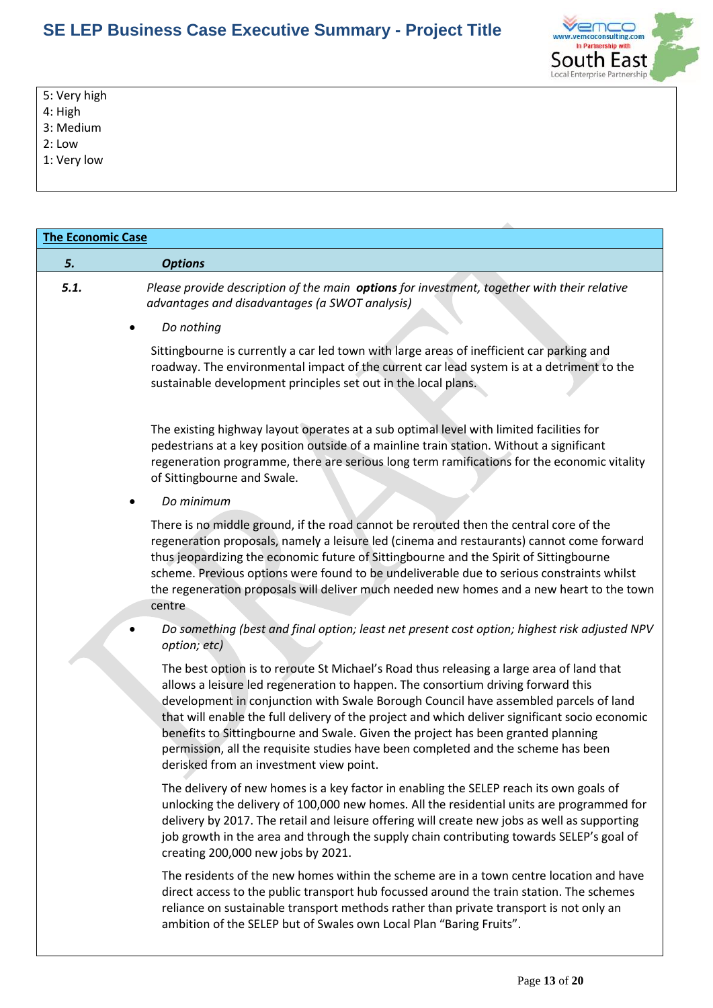

5: Very high

4: High

3: Medium

2: Low

1: Very low

| <b>The Economic Case</b> |                                                                                                                                                                                                                                                                                                                                                                                                                                                                                                                                                                                            |  |  |  |  |  |
|--------------------------|--------------------------------------------------------------------------------------------------------------------------------------------------------------------------------------------------------------------------------------------------------------------------------------------------------------------------------------------------------------------------------------------------------------------------------------------------------------------------------------------------------------------------------------------------------------------------------------------|--|--|--|--|--|
| 5.                       | <b>Options</b>                                                                                                                                                                                                                                                                                                                                                                                                                                                                                                                                                                             |  |  |  |  |  |
| 5.1.                     | Please provide description of the main options for investment, together with their relative<br>advantages and disadvantages (a SWOT analysis)                                                                                                                                                                                                                                                                                                                                                                                                                                              |  |  |  |  |  |
|                          | Do nothing                                                                                                                                                                                                                                                                                                                                                                                                                                                                                                                                                                                 |  |  |  |  |  |
|                          | Sittingbourne is currently a car led town with large areas of inefficient car parking and<br>roadway. The environmental impact of the current car lead system is at a detriment to the<br>sustainable development principles set out in the local plans.                                                                                                                                                                                                                                                                                                                                   |  |  |  |  |  |
|                          | The existing highway layout operates at a sub optimal level with limited facilities for<br>pedestrians at a key position outside of a mainline train station. Without a significant<br>regeneration programme, there are serious long term ramifications for the economic vitality<br>of Sittingbourne and Swale.                                                                                                                                                                                                                                                                          |  |  |  |  |  |
|                          | Do minimum                                                                                                                                                                                                                                                                                                                                                                                                                                                                                                                                                                                 |  |  |  |  |  |
|                          | There is no middle ground, if the road cannot be rerouted then the central core of the<br>regeneration proposals, namely a leisure led (cinema and restaurants) cannot come forward<br>thus jeopardizing the economic future of Sittingbourne and the Spirit of Sittingbourne<br>scheme. Previous options were found to be undeliverable due to serious constraints whilst<br>the regeneration proposals will deliver much needed new homes and a new heart to the town<br>centre                                                                                                          |  |  |  |  |  |
|                          | Do something (best and final option; least net present cost option; highest risk adjusted NPV<br>option; etc)                                                                                                                                                                                                                                                                                                                                                                                                                                                                              |  |  |  |  |  |
|                          | The best option is to reroute St Michael's Road thus releasing a large area of land that<br>allows a leisure led regeneration to happen. The consortium driving forward this<br>development in conjunction with Swale Borough Council have assembled parcels of land<br>that will enable the full delivery of the project and which deliver significant socio economic<br>benefits to Sittingbourne and Swale. Given the project has been granted planning<br>permission, all the requisite studies have been completed and the scheme has been<br>derisked from an investment view point. |  |  |  |  |  |
|                          | The delivery of new homes is a key factor in enabling the SELEP reach its own goals of<br>unlocking the delivery of 100,000 new homes. All the residential units are programmed for<br>delivery by 2017. The retail and leisure offering will create new jobs as well as supporting<br>job growth in the area and through the supply chain contributing towards SELEP's goal of<br>creating 200,000 new jobs by 2021.                                                                                                                                                                      |  |  |  |  |  |
|                          | The residents of the new homes within the scheme are in a town centre location and have<br>direct access to the public transport hub focussed around the train station. The schemes<br>reliance on sustainable transport methods rather than private transport is not only an<br>ambition of the SELEP but of Swales own Local Plan "Baring Fruits".                                                                                                                                                                                                                                       |  |  |  |  |  |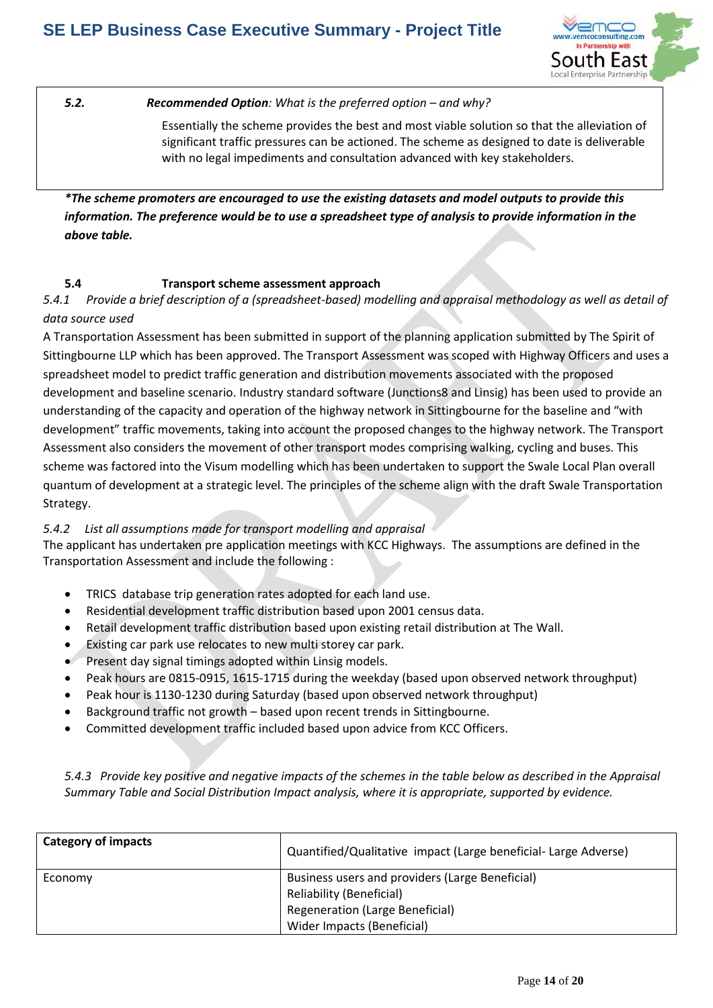

**5.2. Recommended Option**: What is the preferred option – and why?

Essentially the scheme provides the best and most viable solution so that the alleviation of significant traffic pressures can be actioned. The scheme as designed to date is deliverable with no legal impediments and consultation advanced with key stakeholders.

*\*The scheme promoters are encouraged to use the existing datasets and model outputs to provide this information. The preference would be to use a spreadsheet type of analysis to provide information in the above table.* 

### **5.4 Transport scheme assessment approach**

*5.4.1 Provide a brief description of a (spreadsheet-based) modelling and appraisal methodology as well as detail of data source used*

A Transportation Assessment has been submitted in support of the planning application submitted by The Spirit of Sittingbourne LLP which has been approved. The Transport Assessment was scoped with Highway Officers and uses a spreadsheet model to predict traffic generation and distribution movements associated with the proposed development and baseline scenario. Industry standard software (Junctions8 and Linsig) has been used to provide an understanding of the capacity and operation of the highway network in Sittingbourne for the baseline and "with development" traffic movements, taking into account the proposed changes to the highway network. The Transport Assessment also considers the movement of other transport modes comprising walking, cycling and buses. This scheme was factored into the Visum modelling which has been undertaken to support the Swale Local Plan overall quantum of development at a strategic level. The principles of the scheme align with the draft Swale Transportation Strategy.

### *5.4.2 List all assumptions made for transport modelling and appraisal*

The applicant has undertaken pre application meetings with KCC Highways. The assumptions are defined in the Transportation Assessment and include the following :

- TRICS database trip generation rates adopted for each land use.
- Residential development traffic distribution based upon 2001 census data.
- Retail development traffic distribution based upon existing retail distribution at The Wall.
- Existing car park use relocates to new multi storey car park.
- Present day signal timings adopted within Linsig models.
- Peak hours are 0815-0915, 1615-1715 during the weekday (based upon observed network throughput)
- Peak hour is 1130-1230 during Saturday (based upon observed network throughput)
- Background traffic not growth based upon recent trends in Sittingbourne.
- Committed development traffic included based upon advice from KCC Officers.

*5.4.3 Provide key positive and negative impacts of the schemes in the table below as described in the Appraisal Summary Table and Social Distribution Impact analysis, where it is appropriate, supported by evidence.* 

| <b>Category of impacts</b> | Quantified/Qualitative impact (Large beneficial-Large Adverse)                     |
|----------------------------|------------------------------------------------------------------------------------|
| Economy                    | Business users and providers (Large Beneficial)<br><b>Reliability (Beneficial)</b> |
|                            | <b>Regeneration (Large Beneficial)</b>                                             |
|                            | Wider Impacts (Beneficial)                                                         |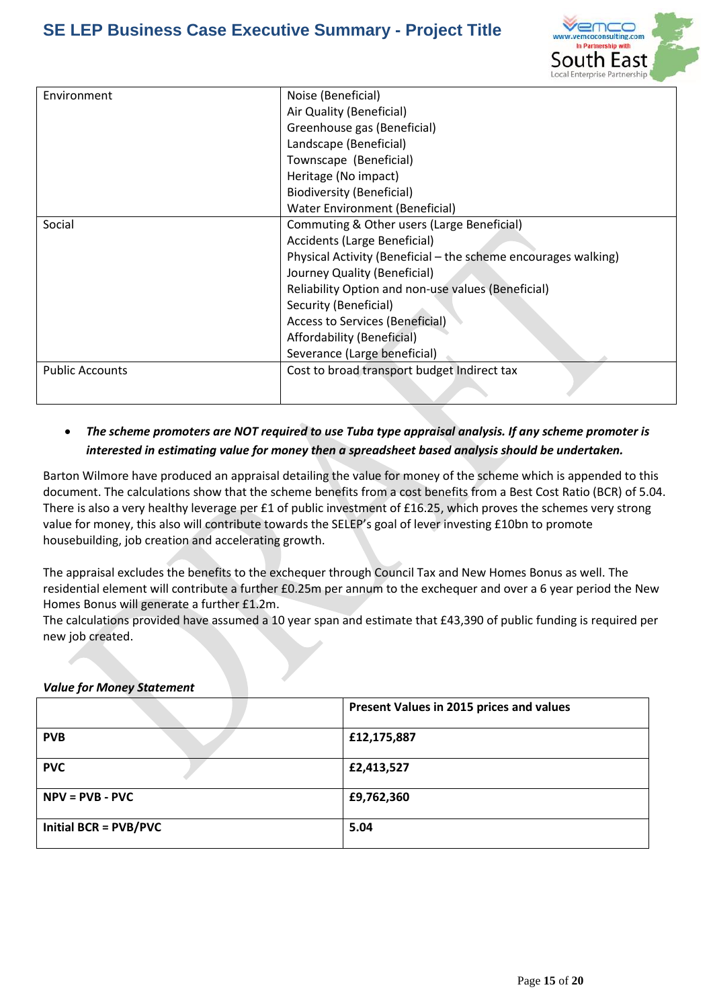

| Environment            | Noise (Beneficial)                                             |
|------------------------|----------------------------------------------------------------|
|                        | Air Quality (Beneficial)                                       |
|                        | Greenhouse gas (Beneficial)                                    |
|                        | Landscape (Beneficial)                                         |
|                        | Townscape (Beneficial)                                         |
|                        | Heritage (No impact)                                           |
|                        | Biodiversity (Beneficial)                                      |
|                        | <b>Water Environment (Beneficial)</b>                          |
| Social                 | Commuting & Other users (Large Beneficial)                     |
|                        | Accidents (Large Beneficial)                                   |
|                        | Physical Activity (Beneficial – the scheme encourages walking) |
|                        | Journey Quality (Beneficial)                                   |
|                        | Reliability Option and non-use values (Beneficial)             |
|                        | Security (Beneficial)                                          |
|                        | Access to Services (Beneficial)                                |
|                        | Affordability (Beneficial)                                     |
|                        | Severance (Large beneficial)                                   |
| <b>Public Accounts</b> | Cost to broad transport budget Indirect tax                    |
|                        |                                                                |

### *The scheme promoters are NOT required to use Tuba type appraisal analysis. If any scheme promoter is interested in estimating value for money then a spreadsheet based analysis should be undertaken.*

Barton Wilmore have produced an appraisal detailing the value for money of the scheme which is appended to this document. The calculations show that the scheme benefits from a cost benefits from a Best Cost Ratio (BCR) of 5.04. There is also a very healthy leverage per £1 of public investment of £16.25, which proves the schemes very strong value for money, this also will contribute towards the SELEP's goal of lever investing £10bn to promote housebuilding, job creation and accelerating growth.

The appraisal excludes the benefits to the exchequer through Council Tax and New Homes Bonus as well. The residential element will contribute a further £0.25m per annum to the exchequer and over a 6 year period the New Homes Bonus will generate a further £1.2m.

The calculations provided have assumed a 10 year span and estimate that £43,390 of public funding is required per new job created.

### *Value for Money Statement*

|                              | Present Values in 2015 prices and values |  |  |
|------------------------------|------------------------------------------|--|--|
| <b>PVB</b>                   | £12,175,887                              |  |  |
| <b>PVC</b>                   | £2,413,527                               |  |  |
| $NPV = PVB - PVC$            | £9,762,360                               |  |  |
| <b>Initial BCR = PVB/PVC</b> | 5.04                                     |  |  |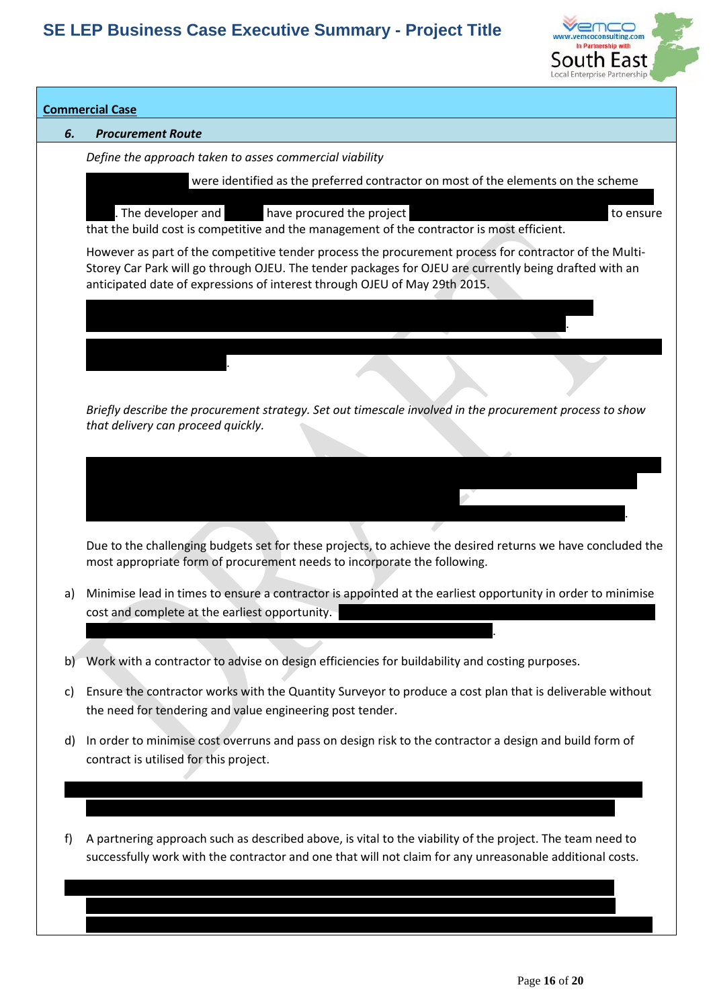

### **Commercial Case**

### *6. Procurement Route*

for delivery of the scheme.

*Define the approach taken to asses commercial viability*

were identified as the preferred contractor on most of the elements on the scheme

based on the company's relevant previous experiences and the contractor's knowledge of the local supply The developer and Cardy's have procured the project via a negotiated tender methodology to ensure

completion and therefore will not go through the same OJEU process.

that the build cost is competitive and the management of the contractor is most efficient.

The Highways contract will go to competitive tender to a preach of specialist civil and specialist civil and  $\alpha$ infrastructure contractors in an effort to minimise the risk to the delivery of the Highways.

However as part of the competitive tender process the procurement process for contractor of the Multi-Storey Car Park will go through OJEU. The tender packages for OJEU are currently being drafted with an anticipated date of expressions of interest through OJEU of May 29th 2015.

*Briefly describe the procurement strategy. Set out timescale involved in the procurement process to show that delivery can proceed quickly.*

The project will be delivered outside of OJEU, apart from the multi storey car park which will be retained by Swale and delivered through the OJEU process. No other element of the scheme is being retained once

The developer has agreed to take a reduced rate of return to ensure the viability of the project and to allow

Due to the challenging budgets set for these projects, to achieve the desired returns we have concluded the most appropriate form of procurement needs to incorporate the following.

a) Minimise lead in times to ensure a contractor is appointed at the earliest opportunity in order to minimise cost and complete at the earliest opportunity.

 $\mathbb{E}_{\mathcal{A}}$  from the car park OJEU process are due to  $\mathcal{A}$  process are due to  $\mathcal{A}$ 

b) Work with a contractor to advise on design efficiencies for buildability and costing purposes.

Highways and the MSCP tender package for OJEU is currently being drafted).

- c) Ensure the contractor works with the Quantity Surveyor to produce a cost plan that is deliverable without the need for tendering and value engineering post tender.
- d) In order to minimise cost overruns and pass on design risk to the contractor a design and build form of contract is utilised for this project.

e) To restrict the opportunity of the contractor claiming additional costs for unknowns after the contract is

f) A partnering approach such as described above, is vital to the viability of the project. The team need to successfully work with the contractor and one that will not claim for any unreasonable additional costs.

g) To minimise costs, the contractor selected should be of a size able to deliver all the schemes whilst minimising their requirement for overhead recovery and profit. It was decided that a large national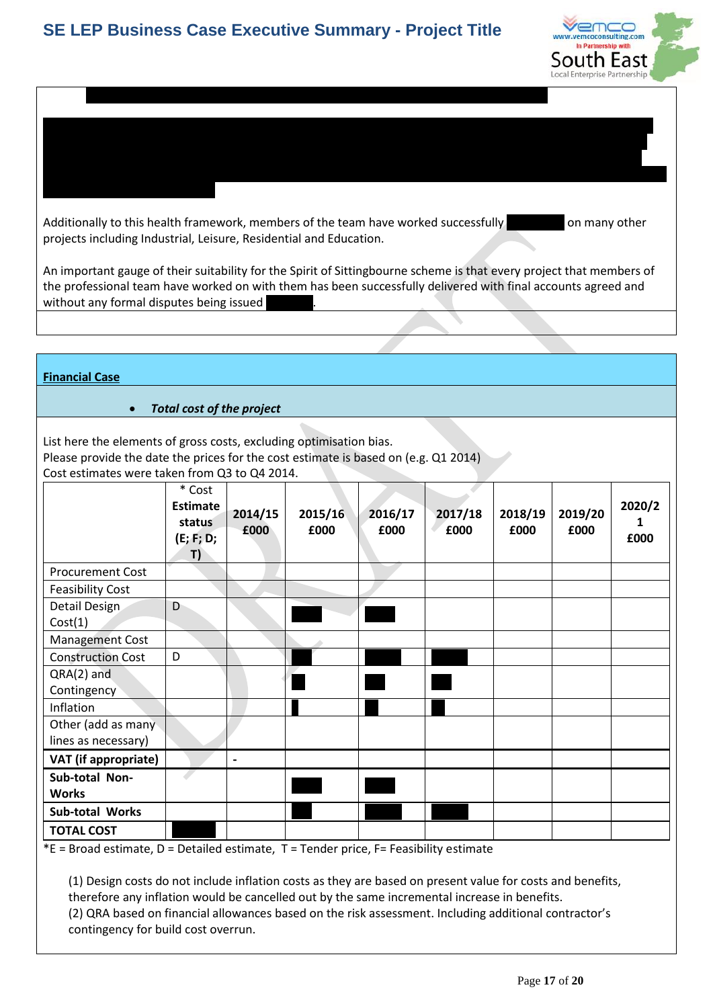

Additionally to this health framework, members of the team have worked successfully on many other projects including Industrial, Leisure, Residential and Education.

Based on the above, Cardy Construction were selected to assist with the design development and cost planning of this project. Cardy are a Kent based contractor whose main offices are in Canterbury. From the experience of the professional team, Cardy have a can do attitude and members of the professional team have been working with them successfully for over ten years on a framework with East Kent Hospitals NHS Trust delivering over £10m capital

An important gauge of their suitability for the Spirit of Sittingbourne scheme is that every project that members of the professional team have worked on with them has been successfully delivered with final accounts agreed and without any formal disputes being issued

### **Financial Case**

### *Total cost of the project*

List here the elements of gross costs, excluding optimisation bias.

Please provide the date the prices for the cost estimate is based on (e.g. Q1 2014)

Cost estimates were taken from Q3 to Q4 2014.

|                                           | * Cost<br><b>Estimate</b><br>status<br>(E; F; D;<br>T) | 2014/15<br>£000          | 2015/16<br>£000 | 2016/17<br>£000 | 2017/18<br>£000 | 2018/19<br>£000 | 2019/20<br>£000 | 2020/2<br>£000 |
|-------------------------------------------|--------------------------------------------------------|--------------------------|-----------------|-----------------|-----------------|-----------------|-----------------|----------------|
| <b>Procurement Cost</b>                   |                                                        |                          |                 |                 |                 |                 |                 |                |
| <b>Feasibility Cost</b>                   |                                                        |                          |                 |                 |                 |                 |                 |                |
| Detail Design<br>Cost(1)                  | D                                                      |                          |                 |                 |                 |                 |                 |                |
| <b>Management Cost</b>                    |                                                        |                          |                 |                 |                 |                 |                 |                |
| <b>Construction Cost</b>                  | D                                                      |                          |                 |                 |                 |                 |                 |                |
| $QRA(2)$ and<br>Contingency               |                                                        |                          |                 |                 |                 |                 |                 |                |
| Inflation                                 |                                                        |                          |                 |                 |                 |                 |                 |                |
| Other (add as many<br>lines as necessary) |                                                        |                          |                 |                 |                 |                 |                 |                |
| VAT (if appropriate)                      |                                                        | $\overline{\phantom{a}}$ |                 |                 |                 |                 |                 |                |
| Sub-total Non-<br><b>Works</b>            |                                                        |                          |                 |                 |                 |                 |                 |                |
| <b>Sub-total Works</b>                    |                                                        |                          |                 |                 |                 |                 |                 |                |
| <b>TOTAL COST</b>                         |                                                        |                          |                 |                 |                 |                 |                 |                |

 $E =$  Broad estimate, D = Detailed estimate, T = Tender price, F = Feasibility estimate

(1) Design costs do not include inflation costs as they are based on present value for costs and benefits, therefore any inflation would be cancelled out by the same incremental increase in benefits. (2) QRA based on financial allowances based on the risk assessment. Including additional contractor's contingency for build cost overrun.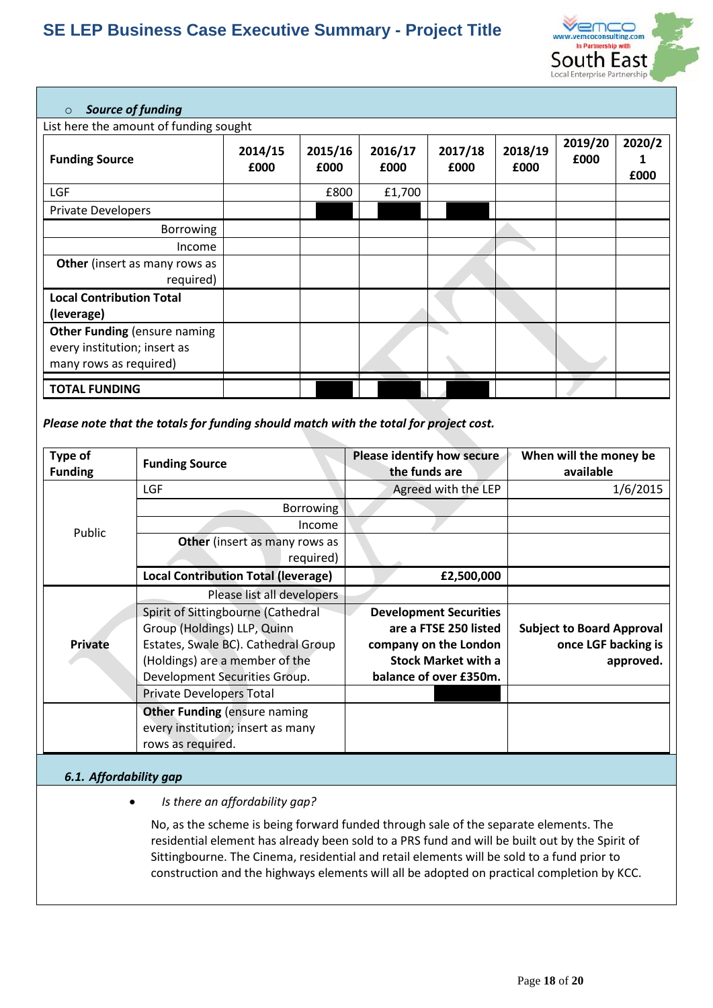

### o *Source of funding*

List here the amount of funding sought

| List note the amount or randing sought<br><b>Funding Source</b>                               | 2014/15<br>£000 | 2015/16<br>£000 | 2016/17<br>£000 | 2017/18<br>£000 | 2018/19<br>£000 | 2019/20<br>£000 | 2020/2<br>£000 |
|-----------------------------------------------------------------------------------------------|-----------------|-----------------|-----------------|-----------------|-----------------|-----------------|----------------|
| <b>LGF</b>                                                                                    |                 | £800            | £1,700          |                 |                 |                 |                |
| <b>Private Developers</b>                                                                     |                 |                 |                 |                 |                 |                 |                |
| Borrowing                                                                                     |                 |                 |                 |                 |                 |                 |                |
| Income                                                                                        |                 |                 |                 |                 |                 |                 |                |
| Other (insert as many rows as<br>required)                                                    |                 |                 |                 |                 |                 |                 |                |
| <b>Local Contribution Total</b><br>(leverage)                                                 |                 |                 |                 |                 |                 |                 |                |
| <b>Other Funding (ensure naming</b><br>every institution; insert as<br>many rows as required) |                 |                 |                 |                 |                 |                 |                |
| <b>TOTAL FUNDING</b>                                                                          |                 |                 |                 |                 |                 |                 |                |

### *Please note that the totals for funding should match with the total for project cost.*

| Type of<br><b>Funding</b> | <b>Funding Source</b>                                                                         | Please identify how secure<br>the funds are | When will the money be<br>available |
|---------------------------|-----------------------------------------------------------------------------------------------|---------------------------------------------|-------------------------------------|
|                           | <b>LGF</b>                                                                                    | Agreed with the LEP                         | 1/6/2015                            |
|                           | Borrowing                                                                                     |                                             |                                     |
| Public                    | Income                                                                                        |                                             |                                     |
|                           | Other (insert as many rows as                                                                 |                                             |                                     |
|                           | required)                                                                                     |                                             |                                     |
|                           | <b>Local Contribution Total (leverage)</b>                                                    | £2,500,000                                  |                                     |
|                           | Please list all developers                                                                    |                                             |                                     |
|                           | Spirit of Sittingbourne (Cathedral                                                            | <b>Development Securities</b>               |                                     |
|                           | Group (Holdings) LLP, Quinn                                                                   | are a FTSE 250 listed                       | <b>Subject to Board Approval</b>    |
| Private                   | Estates, Swale BC). Cathedral Group                                                           | company on the London                       | once LGF backing is                 |
|                           | (Holdings) are a member of the                                                                | <b>Stock Market with a</b>                  | approved.                           |
|                           | Development Securities Group.                                                                 | balance of over £350m.                      |                                     |
|                           | <b>Private Developers Total</b>                                                               |                                             |                                     |
|                           | <b>Other Funding (ensure naming</b><br>every institution; insert as many<br>rows as required. |                                             |                                     |

### *6.1. Affordability gap*

### *Is there an affordability gap?*

No, as the scheme is being forward funded through sale of the separate elements. The residential element has already been sold to a PRS fund and will be built out by the Spirit of Sittingbourne. The Cinema, residential and retail elements will be sold to a fund prior to construction and the highways elements will all be adopted on practical completion by KCC.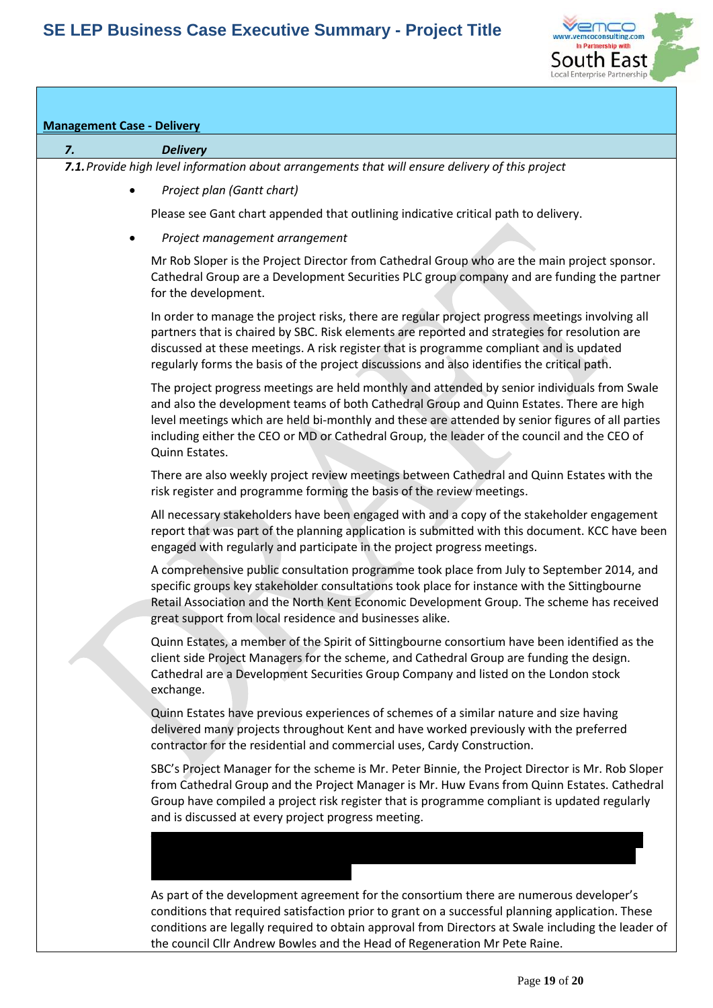

## **Management Case - Delivery** *7. Delivery 7.1.Provide high level information about arrangements that will ensure delivery of this project Project plan (Gantt chart)*  Please see Gant chart appended that outlining indicative critical path to delivery. *Project management arrangement* Mr Rob Sloper is the Project Director from Cathedral Group who are the main project sponsor. Cathedral Group are a Development Securities PLC group company and are funding the partner for the development. In order to manage the project risks, there are regular project progress meetings involving all partners that is chaired by SBC. Risk elements are reported and strategies for resolution are discussed at these meetings. A risk register that is programme compliant and is updated regularly forms the basis of the project discussions and also identifies the critical path. The project progress meetings are held monthly and attended by senior individuals from Swale and also the development teams of both Cathedral Group and Quinn Estates. There are high level meetings which are held bi-monthly and these are attended by senior figures of all parties including either the CEO or MD or Cathedral Group, the leader of the council and the CEO of Quinn Estates. There are also weekly project review meetings between Cathedral and Quinn Estates with the risk register and programme forming the basis of the review meetings. All necessary stakeholders have been engaged with and a copy of the stakeholder engagement report that was part of the planning application is submitted with this document. KCC have been engaged with regularly and participate in the project progress meetings. A comprehensive public consultation programme took place from July to September 2014, and specific groups key stakeholder consultations took place for instance with the Sittingbourne Retail Association and the North Kent Economic Development Group. The scheme has received great support from local residence and businesses alike. Quinn Estates, a member of the Spirit of Sittingbourne consortium have been identified as the client side Project Managers for the scheme, and Cathedral Group are funding the design. Cathedral are a Development Securities Group Company and listed on the London stock exchange. Quinn Estates have previous experiences of schemes of a similar nature and size having delivered many projects throughout Kent and have worked previously with the preferred contractor for the residential and commercial uses, Cardy Construction. SBC's Project Manager for the scheme is Mr. Peter Binnie, the Project Director is Mr. Rob Sloper from Cathedral Group and the Project Manager is Mr. Huw Evans from Quinn Estates. Cathedral Group have compiled a project risk register that is programme compliant is updated regularly and is discussed at every project progress meeting. The preferred contractor are a medium sized regional contractor with an annual turnover of £60m. They have an excellent reputation within Kent and the surrounding region and have As part of the development agreement for the consortium there are numerous developer's conditions that required satisfaction prior to grant on a successful planning application. These

conditions are legally required to obtain approval from Directors at Swale including the leader of

the council Cllr Andrew Bowles and the Head of Regeneration Mr Pete Raine.